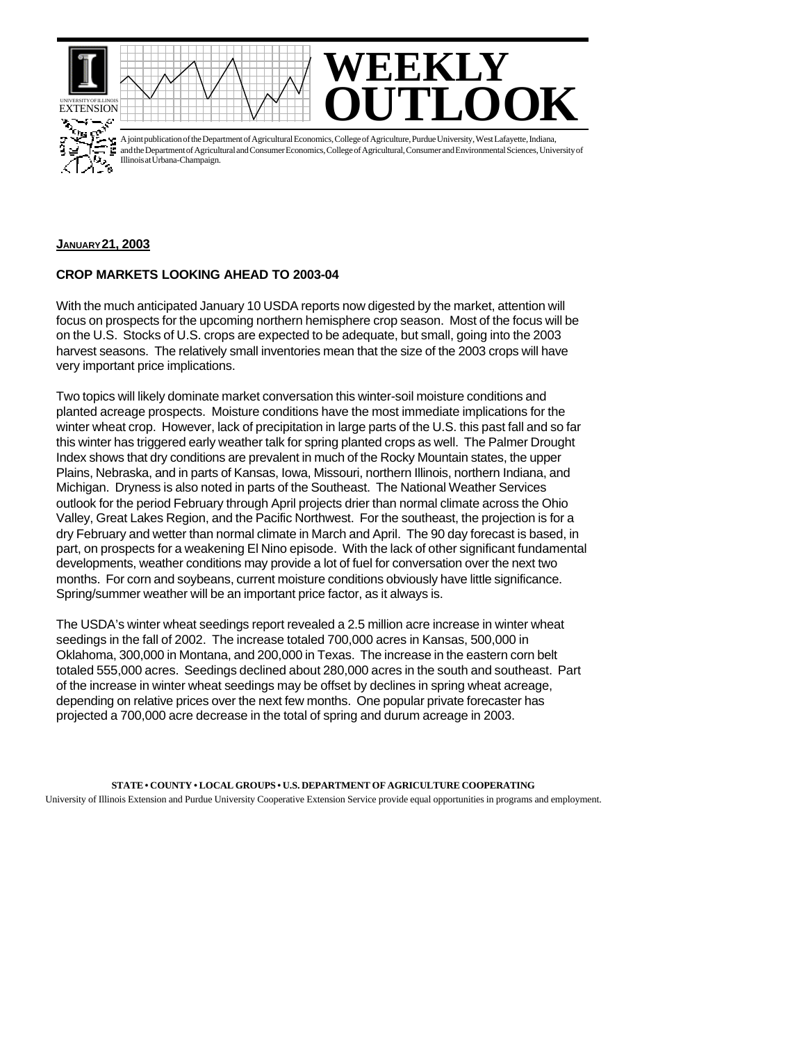





A joint publication of the Department of Agricultural Economics, College of Agriculture, Purdue University, West Lafayette, Indiana, and the Department of Agricultural and Consumer Economics, College of Agricultural, Consumer and Environmental Sciences, University of Illinois at Urbana-Champaign.

## **JANUARY 21, 2003**

## **CROP MARKETS LOOKING AHEAD TO 2003-04**

With the much anticipated January 10 USDA reports now digested by the market, attention will focus on prospects for the upcoming northern hemisphere crop season. Most of the focus will be on the U.S. Stocks of U.S. crops are expected to be adequate, but small, going into the 2003 harvest seasons. The relatively small inventories mean that the size of the 2003 crops will have very important price implications.

Two topics will likely dominate market conversation this winter-soil moisture conditions and planted acreage prospects. Moisture conditions have the most immediate implications for the winter wheat crop. However, lack of precipitation in large parts of the U.S. this past fall and so far this winter has triggered early weather talk for spring planted crops as well. The Palmer Drought Index shows that dry conditions are prevalent in much of the Rocky Mountain states, the upper Plains, Nebraska, and in parts of Kansas, Iowa, Missouri, northern Illinois, northern Indiana, and Michigan. Dryness is also noted in parts of the Southeast. The National Weather Services outlook for the period February through April projects drier than normal climate across the Ohio Valley, Great Lakes Region, and the Pacific Northwest. For the southeast, the projection is for a dry February and wetter than normal climate in March and April. The 90 day forecast is based, in part, on prospects for a weakening El Nino episode. With the lack of other significant fundamental developments, weather conditions may provide a lot of fuel for conversation over the next two months. For corn and soybeans, current moisture conditions obviously have little significance. Spring/summer weather will be an important price factor, as it always is.

The USDA's winter wheat seedings report revealed a 2.5 million acre increase in winter wheat seedings in the fall of 2002. The increase totaled 700,000 acres in Kansas, 500,000 in Oklahoma, 300,000 in Montana, and 200,000 in Texas. The increase in the eastern corn belt totaled 555,000 acres. Seedings declined about 280,000 acres in the south and southeast. Part of the increase in winter wheat seedings may be offset by declines in spring wheat acreage, depending on relative prices over the next few months. One popular private forecaster has projected a 700,000 acre decrease in the total of spring and durum acreage in 2003.

**STATE • COUNTY • LOCAL GROUPS • U.S. DEPARTMENT OF AGRICULTURE COOPERATING** University of Illinois Extension and Purdue University Cooperative Extension Service provide equal opportunities in programs and employment.